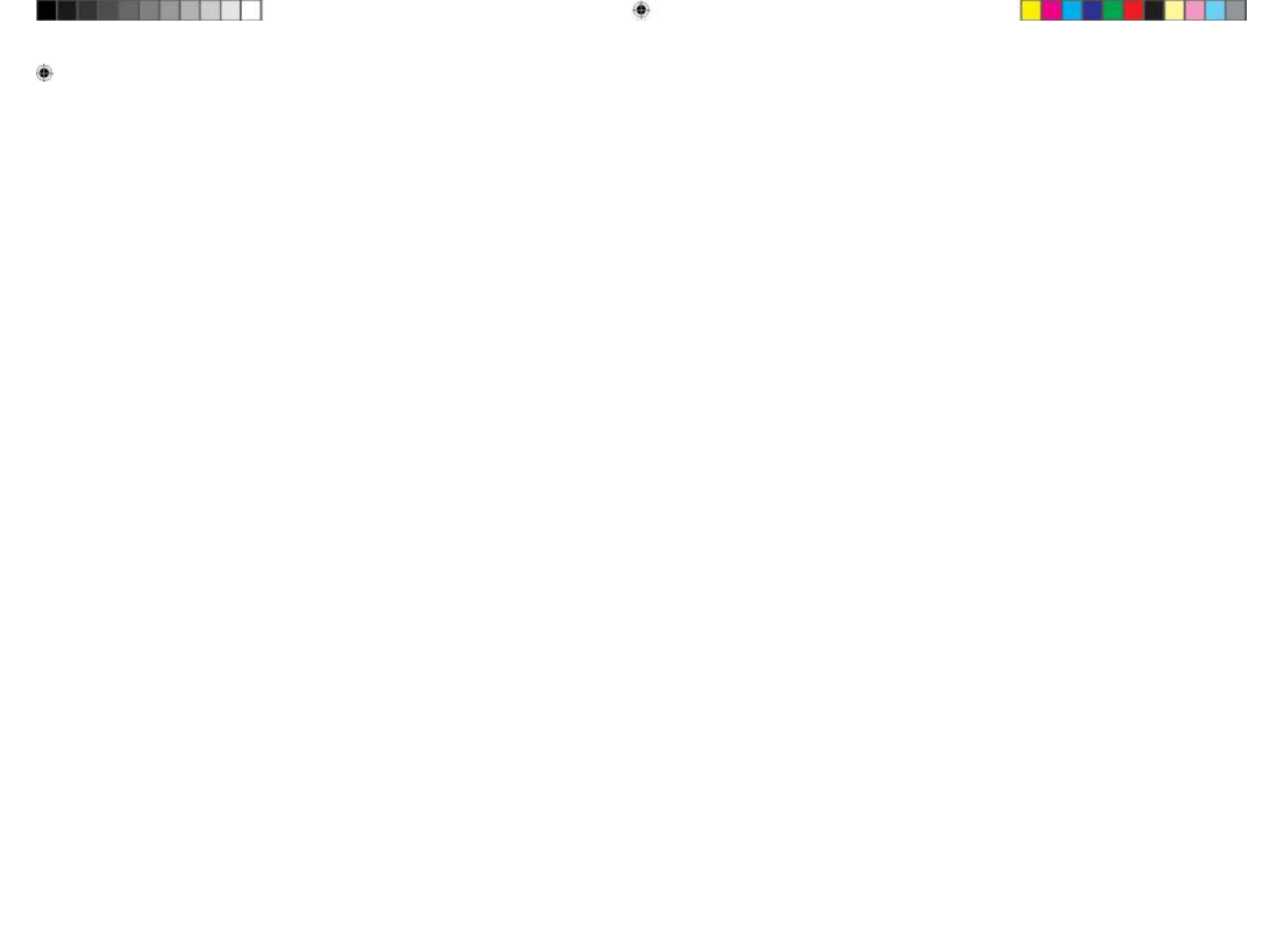۰

<u> The Communication of the Communication of the Communication of the Communication of the Communication of the Communication of the Communication of the Communication of the Communication of the Communication of the Commun</u>

۰

**START OF BUILDING**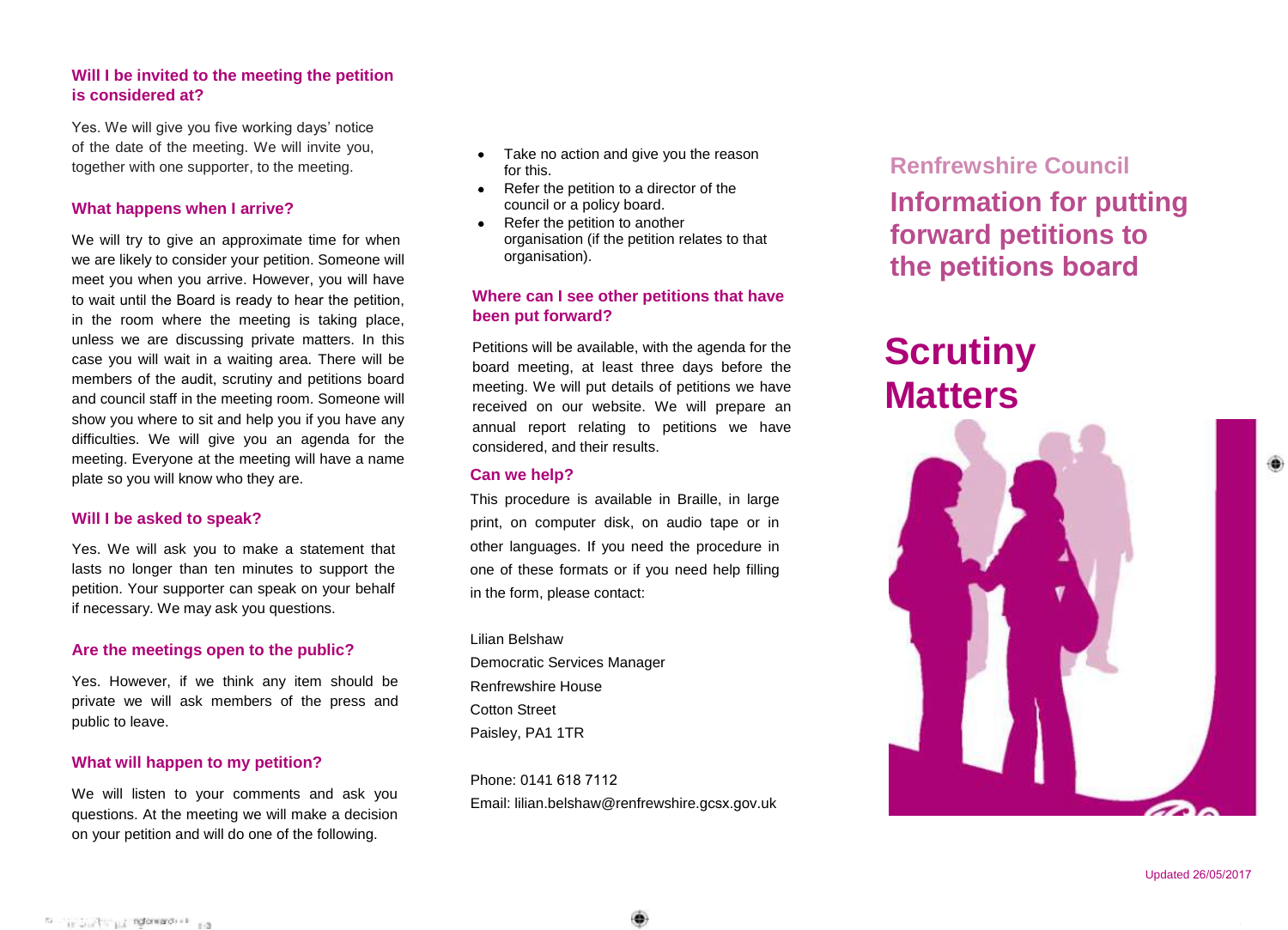### **Will I be invited to the meeting the petition is considered at?**

Yes. We will give you five working days' notice of the date of the meeting. We will invite you, together with one supporter, to the meeting.

### **What happens when I arrive?**

We will try to give an approximate time for when we are likely to consider your petition. Someone will meet you when you arrive. However, you will have to wait until the Board is ready to hear the petition, in the room where the meeting is taking place, unless we are discussing private matters. In this case you will wait in a waiting area. There will be members of the audit, scrutiny and petitions board and council staff in the meeting room. Someone will show you where to sit and help you if you have any difficulties. We will give you an agenda for the meeting. Everyone at the meeting will have a name plate so you will know who they are.

### **Will I be asked to speak?**

Yes. We will ask you to make a statement that lasts no longer than ten minutes to support the petition. Your supporter can speak on your behalf if necessary. We may ask you questions.

### **Are the meetings open to the public?**

Yes. However, if we think any item should be private we will ask members of the press and public to leave.

### **What will happen to my petition?**

We will listen to your comments and ask you questions. At the meeting we will make a decision on your petition and will do one of the following.

- Take no action and give you the reason for this.
- Refer the petition to a director of the council or a policy board.
- Refer the petition to another organisation (if the petition relates to that organisation).

### **Where can I see other petitions that have been put forward?**

Petitions will be available, with the agenda for the board meeting, at least three days before the meeting. We will put details of petitions we have received on our website. We will prepare an annual report relating to petitions we have considered, and their results.

### **Can we help?**

This procedure is available in Braille, in large print, on computer disk, on audio tape or in other languages. If you need the procedure in one of these formats or if you need help filling in the form, please contact:

Lilian Belshaw Democratic Services Manager Renfrewshire House Cotton Street Paisley, PA1 1TR

Phone: 0141 618 7112 Email: lilian.belshaw@renfrewshire.gcsx.gov.uk

## **Renfrewshire Council**

# **Information for putting forward petitions to the petitions board**

# **Scrutiny Matters**